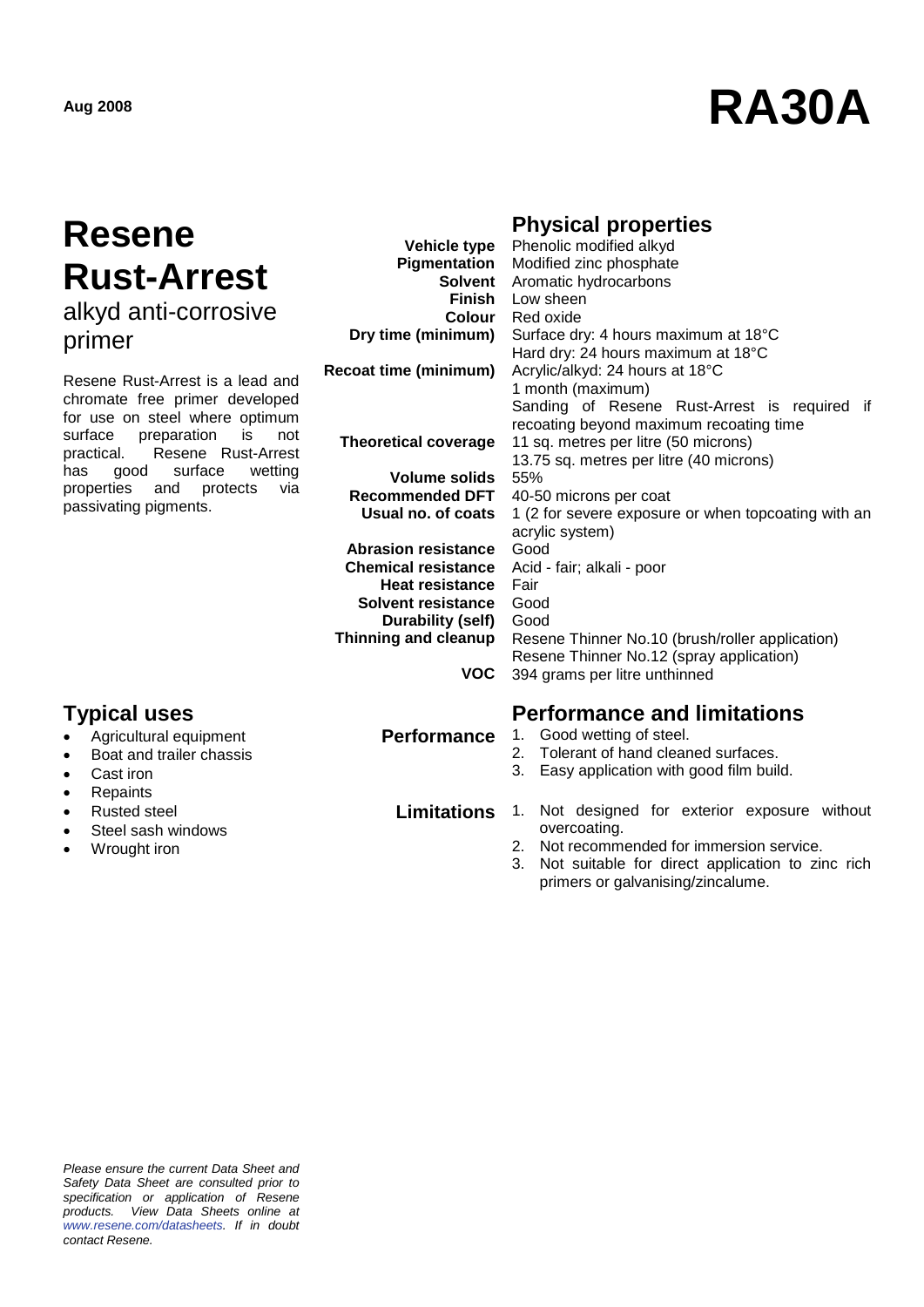# **Aug <sup>2008</sup> RA30A**

### **Resene Rust-Arrest** alkyd anti-corrosive

- Agricultural equipment
- Boat and trailer chassis
- Cast iron
- Repaints
- Rusted steel
- Steel sash windows
- Wrought iron

#### **Physical properties**

| 1177711                                                                                                                                                                                                                                                                            | <b>Vehicle type</b>         | Phenolic modified alkyd                             |
|------------------------------------------------------------------------------------------------------------------------------------------------------------------------------------------------------------------------------------------------------------------------------------|-----------------------------|-----------------------------------------------------|
|                                                                                                                                                                                                                                                                                    | Pigmentation                | Modified zinc phosphate                             |
| <b>Rust-Arrest</b>                                                                                                                                                                                                                                                                 | <b>Solvent</b>              | Aromatic hydrocarbons                               |
|                                                                                                                                                                                                                                                                                    | Finish                      | Low sheen                                           |
| alkyd anti-corrosive                                                                                                                                                                                                                                                               | <b>Colour</b>               | Red oxide                                           |
| primer                                                                                                                                                                                                                                                                             | Dry time (minimum)          | Surface dry: 4 hours maximum at 18°C                |
|                                                                                                                                                                                                                                                                                    |                             | Hard dry: 24 hours maximum at 18°C                  |
| Resene Rust-Arrest is a lead and<br>chromate free primer developed<br>for use on steel where optimum<br>surface<br>preparation<br>is<br>not<br>Resene Rust-Arrest<br>practical.<br>surface<br>has<br>good<br>wetting<br>properties and<br>protects<br>via<br>passivating pigments. | Recoat time (minimum)       | Acrylic/alkyd: 24 hours at 18°C                     |
|                                                                                                                                                                                                                                                                                    |                             | 1 month (maximum)                                   |
|                                                                                                                                                                                                                                                                                    |                             | Sanding of Resene Rust-Arrest is required if        |
|                                                                                                                                                                                                                                                                                    |                             | recoating beyond maximum recoating time             |
|                                                                                                                                                                                                                                                                                    | <b>Theoretical coverage</b> | 11 sq. metres per litre (50 microns)                |
|                                                                                                                                                                                                                                                                                    |                             | 13.75 sq. metres per litre (40 microns)             |
|                                                                                                                                                                                                                                                                                    | <b>Volume solids</b>        | 55%                                                 |
|                                                                                                                                                                                                                                                                                    | <b>Recommended DFT</b>      | 40-50 microns per coat                              |
|                                                                                                                                                                                                                                                                                    | Usual no. of coats          | 1 (2 for severe exposure or when topcoating with an |
|                                                                                                                                                                                                                                                                                    |                             | acrylic system)                                     |
|                                                                                                                                                                                                                                                                                    | <b>Abrasion resistance</b>  | Good                                                |
|                                                                                                                                                                                                                                                                                    | <b>Chemical resistance</b>  | Acid - fair; alkali - poor                          |
|                                                                                                                                                                                                                                                                                    | <b>Heat resistance</b>      | Fair                                                |
|                                                                                                                                                                                                                                                                                    | <b>Solvent resistance</b>   | Good                                                |
|                                                                                                                                                                                                                                                                                    | Durability (self)           | Good                                                |
|                                                                                                                                                                                                                                                                                    | Thinning and cleanup        | Resene Thinner No.10 (brush/roller application)     |
|                                                                                                                                                                                                                                                                                    |                             | Resene Thinner No.12 (spray application)            |
|                                                                                                                                                                                                                                                                                    | VOC.                        | 394 grams per litre unthinned                       |
| <b>Typical uses</b>                                                                                                                                                                                                                                                                |                             | <b>Performance and limitations</b>                  |

- **Performance** 1. Good wetting of steel.
	- 2. Tolerant of hand cleaned surfaces.
	- 3. Easy application with good film build.

- **Limitations** 1. Not designed for exterior exposure without overcoating.
	- 2. Not recommended for immersion service.
	- 3. Not suitable for direct application to zinc rich primers or galvanising/zincalume.